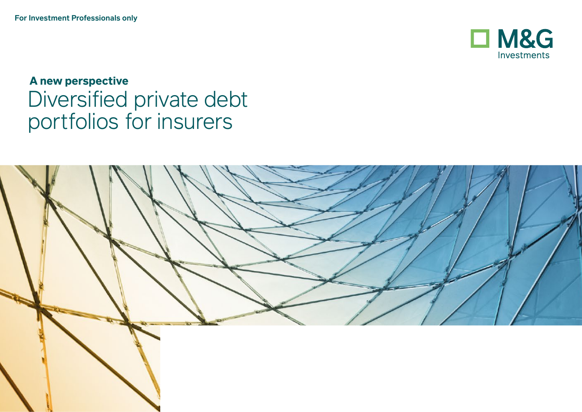

**A new perspective** Diversified private debt portfolios for insurers

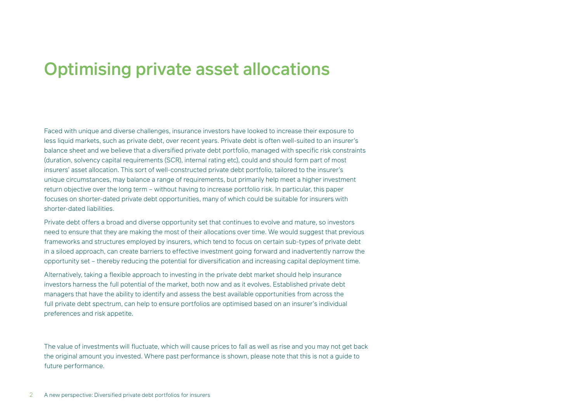## Optimising private asset allocations

Faced with unique and diverse challenges, insurance investors have looked to increase their exposure to less liquid markets, such as private debt, over recent years. Private debt is often well-suited to an insurer's balance sheet and we believe that a diversified private debt portfolio, managed with specific risk constraints (duration, solvency capital requirements (SCR), internal rating etc), could and should form part of most insurers' asset allocation. This sort of well-constructed private debt portfolio, tailored to the insurer's unique circumstances, may balance a range of requirements, but primarily help meet a higher investment return objective over the long term – without having to increase portfolio risk. In particular, this paper focuses on shorter-dated private debt opportunities, many of which could be suitable for insurers with shorter-dated liabilities.

Private debt offers a broad and diverse opportunity set that continues to evolve and mature, so investors need to ensure that they are making the most of their allocations over time. We would suggest that previous frameworks and structures employed by insurers, which tend to focus on certain sub-types of private debt in a siloed approach, can create barriers to effective investment going forward and inadvertently narrow the opportunity set – thereby reducing the potential for diversification and increasing capital deployment time.

Alternatively, taking a flexible approach to investing in the private debt market should help insurance investors harness the full potential of the market, both now and as it evolves. Established private debt managers that have the ability to identify and assess the best available opportunities from across the full private debt spectrum, can help to ensure portfolios are optimised based on an insurer's individual preferences and risk appetite.

The value of investments will fluctuate, which will cause prices to fall as well as rise and you may not get back the original amount you invested. Where past performance is shown, please note that this is not a guide to future performance.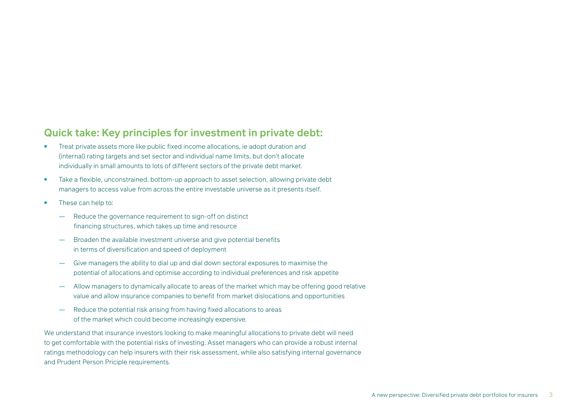## **Quick take: Key principles for investment in private debt:**

- Treat private assets more like public fixed income allocations, ie adopt duration and (internal) rating targets and set sector and individual name limits, but don't allocate individually in small amounts to lots of different sectors of the private debt market.
- Take a flexible, unconstrained, bottom-up approach to asset selection, allowing private debt managers to access value from across the entire investable universe as it presents itself.
- These can help to:
	- Reduce the governance requirement to sign-off on distinct financing structures, which takes up time and resource
	- Broaden the available investment universe and give potential benefits in terms of diversification and speed of deployment
	- Give managers the ability to dial up and dial down sectoral exposures to maximise the potential of allocations and optimise according to individual preferences and risk appetite
	- Allow managers to dynamically allocate to areas of the market which may be offering good relative value and allow insurance companies to benefit from market dislocations and opportunities
	- Reduce the potential risk arising from having fixed allocations to areas of the market which could become increasingly expensive.

We understand that insurance investors looking to make meaningful allocations to private debt will need to get comfortable with the potential risks of investing. Asset managers who can provide a robust internal ratings methodology can help insurers with their risk assessment, while also satisfying internal governance and Prudent Person Priciple requirements.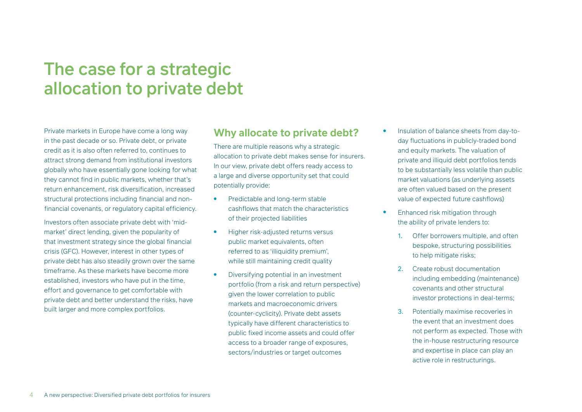# The case for a strategic allocation to private debt

Private markets in Europe have come a long way in the past decade or so. Private debt, or private credit as it is also often referred to, continues to attract strong demand from institutional investors globally who have essentially gone looking for what they cannot find in public markets, whether that's return enhancement, risk diversification, increased structural protections including financial and nonfinancial covenants, or regulatory capital efficiency.

Investors often associate private debt with 'midmarket' direct lending, given the popularity of that investment strategy since the global financial crisis (GFC). However, interest in other types of private debt has also steadily grown over the same timeframe. As these markets have become more established, investors who have put in the time, effort and governance to get comfortable with private debt and better understand the risks, have built larger and more complex portfolios.

### **Why allocate to private debt?**

There are multiple reasons why a strategic allocation to private debt makes sense for insurers. In our view, private debt offers ready access to a large and diverse opportunity set that could potentially provide:

- Predictable and long-term stable cashflows that match the characteristics of their projected liabilities
- Higher risk-adjusted returns versus public market equivalents, often referred to as 'illiquidity premium', while still maintaining credit quality
- Diversifying potential in an investment portfolio (from a risk and return perspective) given the lower correlation to public markets and macroeconomic drivers (counter-cyclicity). Private debt assets typically have different characteristics to public fixed income assets and could offer access to a broader range of exposures, sectors/industries or target outcomes
- Insulation of balance sheets from day-today fluctuations in publicly-traded bond and equity markets. The valuation of private and illiquid debt portfolios tends to be substantially less volatile than public market valuations (as underlying assets are often valued based on the present value of expected future cashflows)
- Enhanced risk mitigation through the ability of private lenders to:
	- 1. Offer borrowers multiple, and often bespoke, structuring possibilities to help mitigate risks;
	- 2. Create robust documentation including embedding (maintenance) covenants and other structural investor protections in deal-terms;
	- 3. Potentially maximise recoveries in the event that an investment does not perform as expected. Those with the in-house restructuring resource and expertise in place can play an active role in restructurings.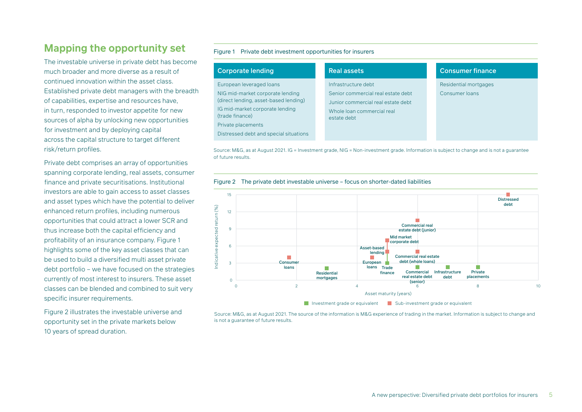## **Mapping the opportunity set**

The investable universe in private debt has become much broader and more diverse as a result of continued innovation within the asset class. Established private debt managers with the breadth of capabilities, expertise and resources have, in turn, responded to investor appetite for new sources of alpha by unlocking new opportunities for investment and by deploying capital across the capital structure to target different risk/return profiles.

Private debt comprises an array of opportunities spanning corporate lending, real assets, consumer finance and private securitisations. Institutional investors are able to gain access to asset classes and asset types which have the potential to deliver enhanced return profiles, including numerous opportunities that could attract a lower SCR and thus increase both the capital efficiency and profitability of an insurance company. Figure 1 highlights some of the key asset classes that can be used to build a diversified multi asset private debt portfolio – we have focused on the strategies currently of most interest to insurers. These asset classes can be blended and combined to suit very specific insurer requirements.

Figure 2 illustrates the investable universe and opportunity set in the private markets below 10 years of spread duration.

#### Figure 1 Private debt investment opportunities for insurers

| <b>Corporate lending</b>                                                  | <b>Real assets</b>                                                       | <b>Consumer finance</b> |
|---------------------------------------------------------------------------|--------------------------------------------------------------------------|-------------------------|
| European leveraged loans                                                  | Infrastructure debt                                                      | Residential mortgages   |
| NIG mid-market corporate lending<br>(direct lending, asset-based lending) | Senior commercial real estate debt<br>Junior commercial real estate debt | Consumer loans          |
| IG mid-market corporate lending<br>(trade finance)                        | Whole loan commercial real<br>estate debt                                |                         |
| Private placements                                                        |                                                                          |                         |
| Distressed debt and special situations                                    |                                                                          |                         |
|                                                                           |                                                                          |                         |

Source: M&G, as at August 2021. IG = Investment grade, NIG = Non-investment grade. Information is subject to change and is not a guarantee of future results.



Figure 2 The private debt investable universe – focus on shorter-dated liabilities

Source: M&G, as at August 2021. The source of the information is M&G experience of trading in the market. Information is subject to change and<br>is not a quarantee of future results.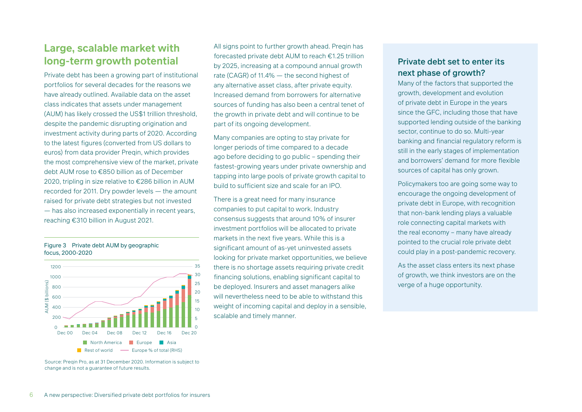## **Large, scalable market with long-term growth potential**

Private debt has been a growing part of institutional portfolios for several decades for the reasons we have already outlined. Available data on the asset class indicates that assets under management (AUM) has likely crossed the US\$1 trillion threshold, despite the pandemic disrupting origination and investment activity during parts of 2020. According to the latest figures (converted from US dollars to euros) from data provider Preqin, which provides the most comprehensive view of the market, private debt AUM rose to €850 billion as of December 2020, tripling in size relative to €286 billion in AUM recorded for 2011. Dry powder levels — the amount raised for private debt strategies but not invested — has also increased exponentially in recent years, reaching €310 billion in August 2021.





Source: Preqin Pro, as at 31 December 2020. Information is subject to

All signs point to further growth ahead. Preqin has forecasted private debt AUM to reach €1.25 trillion by 2025, increasing at a compound annual growth rate (CAGR) of 11.4% — the second highest of any alternative asset class, after private equity. Increased demand from borrowers for alternative sources of funding has also been a central tenet of the growth in private debt and will continue to be part of its ongoing development.

Many companies are opting to stay private for longer periods of time compared to a decade ago before deciding to go public – spending their fastest-growing years under private ownership and tapping into large pools of private growth capital to build to sufficient size and scale for an IPO.

There is a great need for many insurance companies to put capital to work. Industry consensus suggests that around 10% of insurer investment portfolios will be allocated to private markets in the next five years. While this is a significant amount of as-yet uninvested assets looking for private market opportunities, we believe there is no shortage assets requiring private credit financing solutions, enabling significant capital to rinancing solutions, enabling significant capital t<br>be deployed. Insurers and asset managers alike will nevertheless need to be able to withstand this weight of incoming capital and deploy in a sensible, scalable and timely manner.

### Private debt set to enter its next phase of growth?

Many of the factors that supported the growth, development and evolution of private debt in Europe in the years since the GFC, including those that have supported lending outside of the banking sector, continue to do so. Multi-year banking and financial regulatory reform is still in the early stages of implementation and borrowers' demand for more flexible sources of capital has only grown.

Policymakers too are going some way to encourage the ongoing development of private debt in Europe, with recognition that non-bank lending plays a valuable role connecting capital markets with the real economy – many have already pointed to the crucial role private debt could play in a post-pandemic recovery.

As the asset class enters its next phase of growth, we think investors are on the verge of a huge opportunity.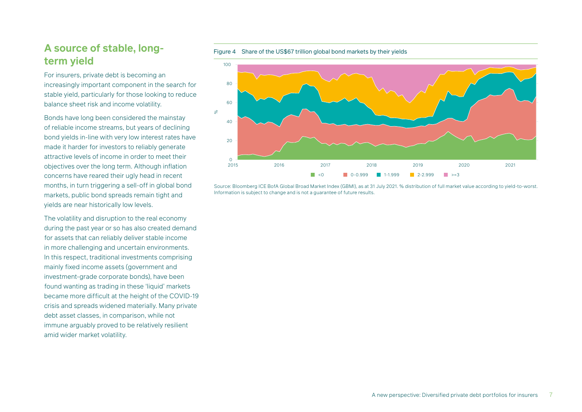## **A source of stable, longterm yield**

For insurers, private debt is becoming an increasingly important component in the search for stable yield, particularly for those looking to reduce balance sheet risk and income volatility.

Bonds have long been considered the mainstay of reliable income streams, but years of declining bond yields in-line with very low interest rates have made it harder for investors to reliably generate attractive levels of income in order to meet their objectives over the long term. Although inflation concerns have reared their ugly head in recent months, in turn triggering a sell-off in global bond markets, public bond spreads remain tight and yields are near historically low levels.

The volatility and disruption to the real economy during the past year or so has also created demand for assets that can reliably deliver stable income in more challenging and uncertain environments. In this respect, traditional investments comprising mainly fixed income assets (government and investment-grade corporate bonds), have been found wanting as trading in these 'liquid' markets became more difficult at the height of the COVID-19 crisis and spreads widened materially. Many private debt asset classes, in comparison, while not immune arguably proved to be relatively resilient amid wider market volatility.

Figure 4 Share of the US\$67 trillion global bond markets by their yields



Source: Bloomberg ICE BofA Global Broad Market Index (GBMI), as at 31 July 2021. % distribution of full market value according to yield-to-worst. Information is subject to change and is not a guarantee of future results.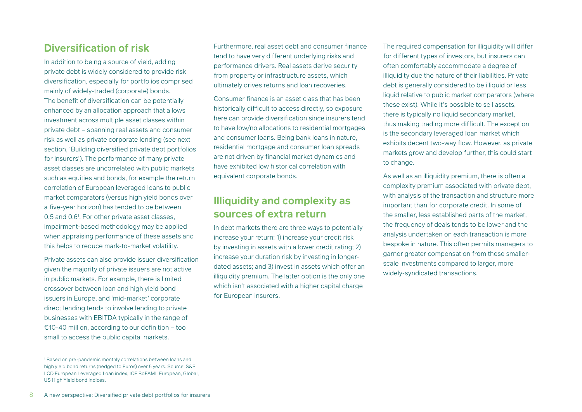## **Diversification of risk**

In addition to being a source of yield, adding private debt is widely considered to provide risk diversification, especially for portfolios comprised mainly of widely-traded (corporate) bonds. The benefit of diversification can be potentially enhanced by an allocation approach that allows investment across multiple asset classes within private debt – spanning real assets and consumer risk as well as private corporate lending (see next section, 'Building diversified private debt portfolios for insurers'). The performance of many private asset classes are uncorrelated with public markets such as equities and bonds, for example the return correlation of European leveraged loans to public market comparators (versus high yield bonds over a five-year horizon) has tended to be between 0.5 and 0.61 . For other private asset classes, impairment-based methodology may be applied when appraising performance of these assets and this helps to reduce mark-to-market volatility.

Private assets can also provide issuer diversification given the majority of private issuers are not active in public markets. For example, there is limited crossover between loan and high yield bond issuers in Europe, and 'mid-market' corporate direct lending tends to involve lending to private businesses with EBITDA typically in the range of €10-40 million, according to our definition – too small to access the public capital markets.

Furthermore, real asset debt and consumer finance tend to have very different underlying risks and performance drivers. Real assets derive security from property or infrastructure assets, which ultimately drives returns and loan recoveries.

Consumer finance is an asset class that has been historically difficult to access directly, so exposure here can provide diversification since insurers tend to have low/no allocations to residential mortgages and consumer loans. Being bank loans in nature, residential mortgage and consumer loan spreads are not driven by financial market dynamics and have exhibited low historical correlation with equivalent corporate bonds.

## **Illiquidity and complexity as sources of extra return**

In debt markets there are three ways to potentially increase your return: 1) increase your credit risk by investing in assets with a lower credit rating; 2) increase your duration risk by investing in longerdated assets; and 3) invest in assets which offer an illiquidity premium. The latter option is the only one which isn't associated with a higher capital charge for European insurers.

The required compensation for illiquidity will differ for different types of investors, but insurers can often comfortably accommodate a degree of illiquidity due the nature of their liabilities. Private debt is generally considered to be illiquid or less liquid relative to public market comparators (where these exist). While it's possible to sell assets, there is typically no liquid secondary market, thus making trading more difficult. The exception is the secondary leveraged loan market which exhibits decent two-way flow. However, as private markets grow and develop further, this could start to change.

As well as an illiquidity premium, there is often a complexity premium associated with private debt, with analysis of the transaction and structure more important than for corporate credit. In some of the smaller, less established parts of the market, the frequency of deals tends to be lower and the analysis undertaken on each transaction is more bespoke in nature. This often permits managers to garner greater compensation from these smallerscale investments compared to larger, more widely-syndicated transactions.

<sup>1</sup> Based on pre-pandemic monthly correlations between loans and high yield bond returns (hedged to Euros) over 5 years. Source: S&P LCD European Leveraged Loan index, ICE BoFAML European, Global, US High Yield bond indices.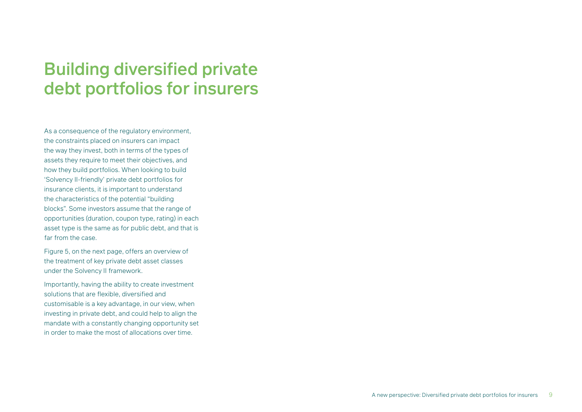# Building diversified private debt portfolios for insurers

As a consequence of the regulatory environment. the constraints placed on insurers can impact the way they invest, both in terms of the types of assets they require to meet their objectives, and how they build portfolios. When looking to build 'Solvency II-friendly' private debt portfolios for insurance clients, it is important to understand the characteristics of the potential "building blocks". Some investors assume that the range of opportunities (duration, coupon type, rating) in each asset type is the same as for public debt, and that is far from the case.

Figure 5, on the next page, offers an overview of the treatment of key private debt asset classes under the Solvency II framework.

Importantly, having the ability to create investment solutions that are flexible, diversified and customisable is a key advantage, in our view, when investing in private debt, and could help to align the mandate with a constantly changing opportunity set in order to make the most of allocations over time.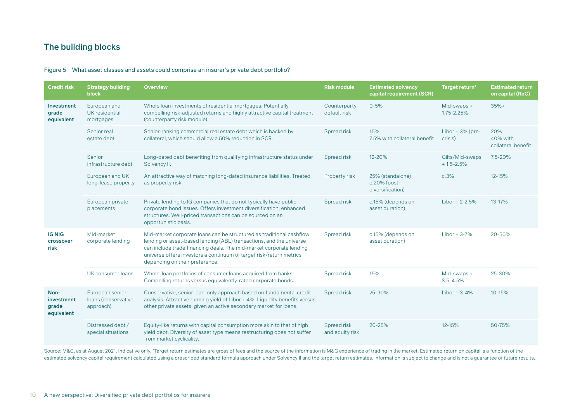### The building blocks

| <b>Credit risk</b>                        | <b>Strategy building</b><br>block                   | <b>Overview</b>                                                                                                                                                                                                                                                                                                             | <b>Risk module</b>             | <b>Estimated solvency</b><br>capital requirement (SCR) | Target return*                   | <b>Estimated return</b><br>on capital (RoC) |
|-------------------------------------------|-----------------------------------------------------|-----------------------------------------------------------------------------------------------------------------------------------------------------------------------------------------------------------------------------------------------------------------------------------------------------------------------------|--------------------------------|--------------------------------------------------------|----------------------------------|---------------------------------------------|
| Investment<br>grade<br>equivalent         | European and<br>UK residential<br>mortgages         | Whole loan investments of residential mortgages. Potentially<br>compelling risk-adjusted returns and highly attractive capital treatment<br>(counterparty risk module).                                                                                                                                                     | Counterparty<br>default risk   | $0 - 5%$                                               | Mid-swaps +<br>1.75-2.25%        | $35%+$                                      |
|                                           | Senior real<br>estate debt                          | Senior-ranking commercial real estate debt which is backed by<br>collateral, which should allow a 50% reduction in SCR.                                                                                                                                                                                                     | Spread risk                    | 15%<br>7.5% with collateral benefit                    | Libor + $3%$ (pre-<br>crisis)    | 20%<br>40% with<br>collateral benefit       |
|                                           | Senior<br>infrastructure debt                       | Long-dated debt benefiting from qualifying infrastructure status under<br>Solvency II.                                                                                                                                                                                                                                      | Spread risk                    | 12-20%                                                 | Gilts/Mid-swaps<br>$+1.5 - 2.5%$ | 7.5-20%                                     |
|                                           | European and UK<br>long-lease property              | An attractive way of matching long-dated insurance liabilities. Treated<br>as property risk.                                                                                                                                                                                                                                | Property risk                  | 25% (standalone)<br>c.20% (post-<br>diversification)   | c.3%                             | 12-15%                                      |
|                                           | European private<br>placements                      | Private lending to IG companies that do not typically have public<br>corporate bond issues. Offers investment diversification, enhanced<br>structures. Well-priced transactions can be sourced on an<br>opportunistic basis.                                                                                                | Spread risk                    | c.15% (depends on<br>asset duration)                   | $Libor + 2-2.5%$                 | 13-17%                                      |
| <b>IG NIG</b><br>crossover<br>risk        | Mid-market<br>corporate lending                     | Mid-market corporate loans can be structured as traditional cashflow<br>lending or asset-based lending (ABL) transactions, and the universe<br>can include trade financing deals. The mid-market corporate lending<br>universe offers investors a continuum of target risk/return metrics<br>depending on their preference. | Spread risk                    | c.15% (depends on<br>asset duration)                   | $Libor + 3-7%$                   | 20-50%                                      |
|                                           | UK consumer loans                                   | Whole-loan portfolios of consumer loans acquired from banks.<br>Compelling returns versus equivalently-rated corporate bonds.                                                                                                                                                                                               | Spread risk                    | 15%                                                    | Mid-swaps +<br>$3.5 - 4.5%$      | 25-30%                                      |
| Non-<br>investment<br>grade<br>equivalent | European senior<br>loans (conservative<br>approach) | Conservative, senior loan-only approach based on fundamental credit<br>analysis. Attractive running yield of Libor + 4%. Liquidity benefits versus<br>other private assets, given an active secondary market for loans.                                                                                                     | Spread risk                    | 25-30%                                                 | Libor + $3-4\%$                  | $10 - 15%$                                  |
|                                           | Distressed debt /<br>special situations             | Equity-like returns with capital consumption more akin to that of high<br>yield debt. Diversity of asset type means restructuring does not suffer<br>from market cyclicality.                                                                                                                                               | Spread risk<br>and equity risk | 20-25%                                                 | 12-15%                           | 50-75%                                      |

#### Figure 5 What asset classes and assets could comprise an insurer's private debt portfolio?

Source: M&G, as at August 2021. Indicative only. \*Target return estimates are gross of fees and the source of the information is M&G experience of trading in the market. Estimated return on capital is a function of the estimated solvency capital requirement calculated using a prescribed standard formula approach under Solvency II and the target return estimates. Information is subject to change and is not a guarantee of future results.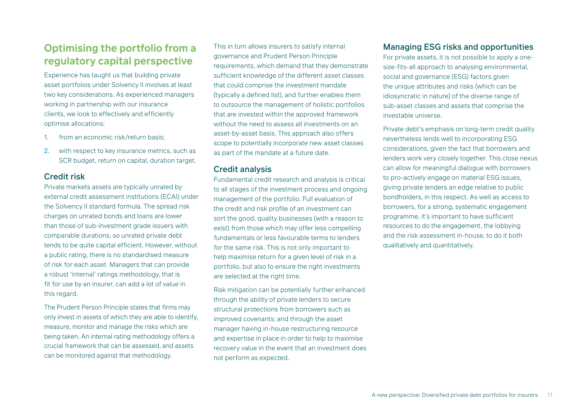## **Optimising the portfolio from a regulatory capital perspective**

Experience has taught us that building private asset portfolios under Solvency II involves at least two key considerations. As experienced managers working in partnership with our insurance clients, we look to effectively and efficiently optimise allocations:

- 1. from an economic risk/return basis;
- 2. with respect to key insurance metrics, such as SCR budget, return on capital, duration target.

#### Credit risk

Private markets assets are typically unrated by external credit assessment institutions (ECAI) under the Solvency II standard formula. The spread risk charges on unrated bonds and loans are lower than those of sub-investment grade issuers with comparable durations, so unrated private debt tends to be quite capital efficient. However, without a public rating, there is no standardised measure of risk for each asset. Managers that can provide a robust 'internal' ratings methodology, that is fit for use by an insurer, can add a lot of value in this regard.

The Prudent Person Principle states that firms may only invest in assets of which they are able to identify, measure, monitor and manage the risks which are being taken. An internal rating methodology offers a crucial framework that can be assessed, and assets can be monitored against that methodology.

This in turn allows insurers to satisfy internal governance and Prudent Person Principle requirements, which demand that they demonstrate sufficient knowledge of the different asset classes that could comprise the investment mandate (typically a defined list), and further enables them to outsource the management of holistic portfolios that are invested within the approved framework without the need to assess all investments on an asset-by-asset basis. This approach also offers scope to potentially incorporate new asset classes as part of the mandate at a future date.

#### Credit analysis

Fundamental credit research and analysis is critical to all stages of the investment process and ongoing management of the portfolio. Full evaluation of the credit and risk profile of an investment can sort the good, quality businesses (with a reason to exist) from those which may offer less compelling fundamentals or less favourable terms to lenders for the same risk. This is not only important to help maximise return for a given level of risk in a portfolio, but also to ensure the right investments are selected at the right time.

Risk mitigation can be potentially further enhanced through the ability of private lenders to secure structural protections from borrowers such as improved covenants; and through the asset manager having in-house restructuring resource and expertise in place in order to help to maximise recovery value in the event that an investment does not perform as expected.

### Managing ESG risks and opportunities

For private assets, it is not possible to apply a onesize-fits-all approach to analysing environmental, social and governance (ESG) factors given the unique attributes and risks (which can be idiosyncratic in nature) of the diverse range of sub-asset classes and assets that comprise the investable universe.

Private debt's emphasis on long-term credit quality nevertheless lends well to incorporating ESG considerations, given the fact that borrowers and lenders work very closely together. This close nexus can allow for meaningful dialogue with borrowers to pro-actively engage on material ESG issues, giving private lenders an edge relative to public bondholders, in this respect. As well as access to borrowers, for a strong, systematic engagement programme, it's important to have sufficient resources to do the engagement, the lobbying and the risk assessment in-house, to do it both qualitatively and quantitatively.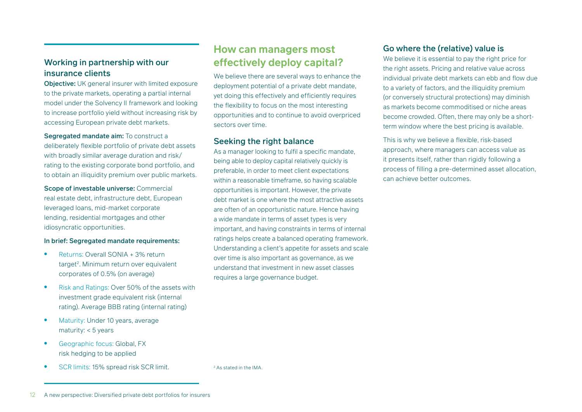**Objective:** UK general insurer with limited exposure to the private markets, operating a partial internal model under the Solvency II framework and looking to increase portfolio yield without increasing risk by accessing European private debt markets.

Segregated mandate aim: To construct a deliberately flexible portfolio of private debt assets with broadly similar average duration and risk/ rating to the existing corporate bond portfolio, and to obtain an illiquidity premium over public markets.

Scope of investable universe: Commercial real estate debt, infrastructure debt, European leveraged loans, mid-market corporate lending, residential mortgages and other idiosyncratic opportunities.

#### In brief: Segregated mandate requirements:

- Returns: Overall SONIA + 3% return target<sup>2</sup>. Minimum return over equivalent corporates of 0.5% (on average)
- Risk and Ratings: Over 50% of the assets with investment grade equivalent risk (internal rating). Average BBB rating (internal rating)
- Maturity: Under 10 years, average maturity: < 5 years
- Geographic focus: Global, FX risk hedging to be applied
- SCR limits: 15% spread risk SCR limit.

**How can managers most effectively deploy capital?**

We believe there are several ways to enhance the deployment potential of a private debt mandate, yet doing this effectively and efficiently requires the flexibility to focus on the most interesting opportunities and to continue to avoid overpriced sectors over time.

#### Seeking the right balance

As a manager looking to fulfil a specific mandate, being able to deploy capital relatively quickly is preferable, in order to meet client expectations within a reasonable timeframe, so having scalable opportunities is important. However, the private debt market is one where the most attractive assets are often of an opportunistic nature. Hence having a wide mandate in terms of asset types is very important, and having constraints in terms of internal ratings helps create a balanced operating framework. Understanding a client's appetite for assets and scale over time is also important as governance, as we understand that investment in new asset classes requires a large governance budget.

#### Go where the (relative) value is

We believe it is essential to pay the right price for the right assets. Pricing and relative value across individual private debt markets can ebb and flow due to a variety of factors, and the illiquidity premium (or conversely structural protections) may diminish as markets become commoditised or niche areas become crowded. Often, there may only be a shortterm window where the best pricing is available.

This is why we believe a flexible, risk-based approach, where managers can access value as it presents itself, rather than rigidly following a process of filling a pre-determined asset allocation, can achieve better outcomes.

<sup>2</sup> As stated in the IMA

<sup>12</sup> A new perspective: Diversified private debt portfolios for insurers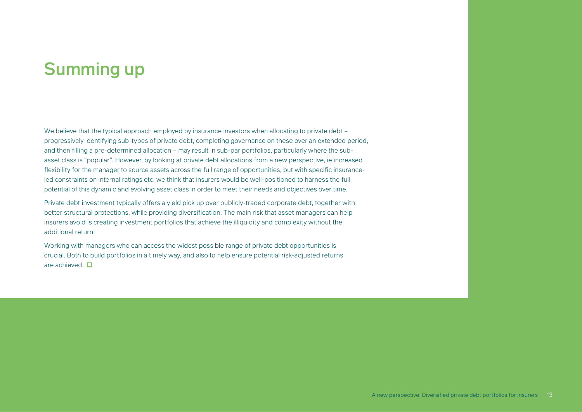# Summing up

We believe that the typical approach employed by insurance investors when allocating to private debt – progressively identifying sub-types of private debt, completing governance on these over an extended period, and then filling a pre-determined allocation – may result in sub-par portfolios, particularly where the subasset class is "popular". However, by looking at private debt allocations from a new perspective, ie increased flexibility for the manager to source assets across the full range of opportunities, but with specific insuranceled constraints on internal ratings etc, we think that insurers would be well-positioned to harness the full potential of this dynamic and evolving asset class in order to meet their needs and objectives over time.

Private debt investment typically offers a yield pick up over publicly-traded corporate debt, together with better structural protections, while providing diversification. The main risk that asset managers can help insurers avoid is creating investment portfolios that achieve the illiquidity and complexity without the additional return.

Working with managers who can access the widest possible range of private debt opportunities is crucial. Both to build portfolios in a timely way, and also to help ensure potential risk-adjusted returns are achieved.  $\square$